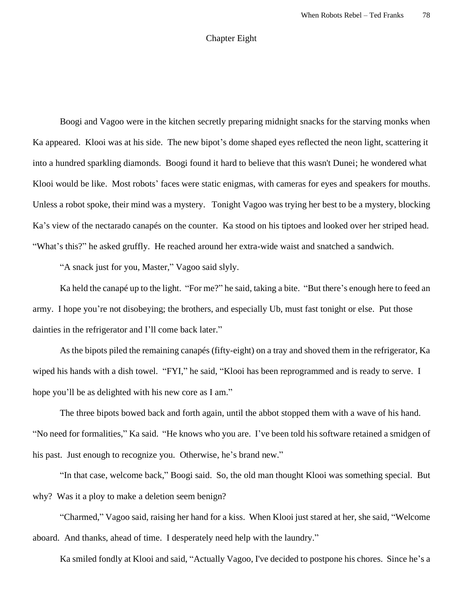## Chapter Eight

Boogi and Vagoo were in the kitchen secretly preparing midnight snacks for the starving monks when Ka appeared. Klooi was at his side. The new bipot's dome shaped eyes reflected the neon light, scattering it into a hundred sparkling diamonds. Boogi found it hard to believe that this wasn't Dunei; he wondered what Klooi would be like. Most robots' faces were static enigmas, with cameras for eyes and speakers for mouths. Unless a robot spoke, their mind was a mystery. Tonight Vagoo was trying her best to be a mystery, blocking Ka's view of the nectarado canapés on the counter. Ka stood on his tiptoes and looked over her striped head. "What's this?" he asked gruffly. He reached around her extra-wide waist and snatched a sandwich.

"A snack just for you, Master," Vagoo said slyly.

Ka held the canapé up to the light. "For me?" he said, taking a bite. "But there's enough here to feed an army. I hope you're not disobeying; the brothers, and especially Ub, must fast tonight or else. Put those dainties in the refrigerator and I'll come back later."

As the bipots piled the remaining canapés (fifty-eight) on a tray and shoved them in the refrigerator, Ka wiped his hands with a dish towel. "FYI," he said, "Klooi has been reprogrammed and is ready to serve. I hope you'll be as delighted with his new core as I am."

The three bipots bowed back and forth again, until the abbot stopped them with a wave of his hand. "No need for formalities," Ka said. "He knows who you are. I've been told his software retained a smidgen of his past. Just enough to recognize you. Otherwise, he's brand new."

"In that case, welcome back," Boogi said. So, the old man thought Klooi was something special. But why? Was it a ploy to make a deletion seem benign?

"Charmed," Vagoo said, raising her hand for a kiss. When Klooi just stared at her, she said, "Welcome aboard. And thanks, ahead of time. I desperately need help with the laundry."

Ka smiled fondly at Klooi and said, "Actually Vagoo, I've decided to postpone his chores. Since he's a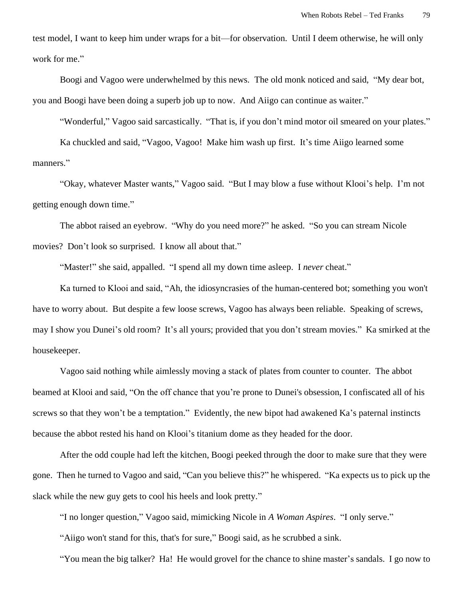test model, I want to keep him under wraps for a bit—for observation. Until I deem otherwise, he will only work for me."

Boogi and Vagoo were underwhelmed by this news. The old monk noticed and said, "My dear bot, you and Boogi have been doing a superb job up to now. And Aiigo can continue as waiter."

"Wonderful," Vagoo said sarcastically. "That is, if you don't mind motor oil smeared on your plates."

Ka chuckled and said, "Vagoo, Vagoo! Make him wash up first. It's time Aiigo learned some manners."

"Okay, whatever Master wants," Vagoo said. "But I may blow a fuse without Klooi's help. I'm not getting enough down time."

The abbot raised an eyebrow. "Why do you need more?" he asked. "So you can stream Nicole movies? Don't look so surprised. I know all about that."

"Master!" she said, appalled. "I spend all my down time asleep. I *never* cheat."

Ka turned to Klooi and said, "Ah, the idiosyncrasies of the human-centered bot; something you won't have to worry about. But despite a few loose screws, Vagoo has always been reliable. Speaking of screws, may I show you Dunei's old room? It's all yours; provided that you don't stream movies." Ka smirked at the housekeeper.

Vagoo said nothing while aimlessly moving a stack of plates from counter to counter. The abbot beamed at Klooi and said, "On the off chance that you're prone to Dunei's obsession, I confiscated all of his screws so that they won't be a temptation." Evidently, the new bipot had awakened Ka's paternal instincts because the abbot rested his hand on Klooi's titanium dome as they headed for the door.

After the odd couple had left the kitchen, Boogi peeked through the door to make sure that they were gone. Then he turned to Vagoo and said, "Can you believe this?" he whispered. "Ka expects us to pick up the slack while the new guy gets to cool his heels and look pretty."

"I no longer question," Vagoo said, mimicking Nicole in *A Woman Aspires*. "I only serve."

"Aiigo won't stand for this, that's for sure," Boogi said, as he scrubbed a sink.

"You mean the big talker? Ha! He would grovel for the chance to shine master's sandals. I go now to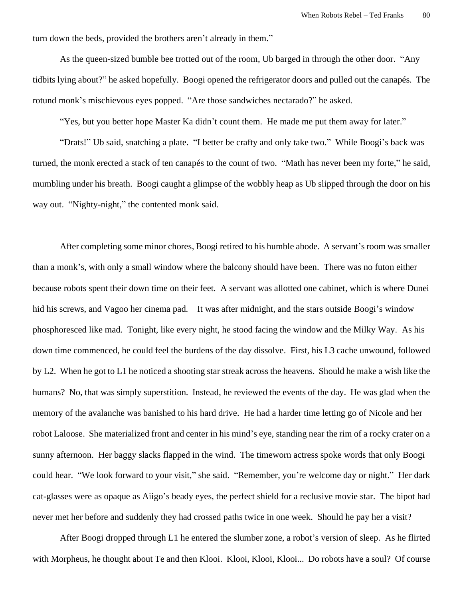turn down the beds, provided the brothers aren't already in them."

As the queen-sized bumble bee trotted out of the room, Ub barged in through the other door. "Any tidbits lying about?" he asked hopefully. Boogi opened the refrigerator doors and pulled out the canapés. The rotund monk's mischievous eyes popped. "Are those sandwiches nectarado?" he asked.

"Yes, but you better hope Master Ka didn't count them. He made me put them away for later."

"Drats!" Ub said, snatching a plate. "I better be crafty and only take two." While Boogi's back was turned, the monk erected a stack of ten canapés to the count of two. "Math has never been my forte," he said, mumbling under his breath. Boogi caught a glimpse of the wobbly heap as Ub slipped through the door on his way out. "Nighty-night," the contented monk said.

After completing some minor chores, Boogi retired to his humble abode. A servant's room was smaller than a monk's, with only a small window where the balcony should have been. There was no futon either because robots spent their down time on their feet. A servant was allotted one cabinet, which is where Dunei hid his screws, and Vagoo her cinema pad. It was after midnight, and the stars outside Boogi's window phosphoresced like mad. Tonight, like every night, he stood facing the window and the Milky Way. As his down time commenced, he could feel the burdens of the day dissolve. First, his L3 cache unwound, followed by L2. When he got to L1 he noticed a shooting star streak across the heavens. Should he make a wish like the humans? No, that was simply superstition. Instead, he reviewed the events of the day. He was glad when the memory of the avalanche was banished to his hard drive. He had a harder time letting go of Nicole and her robot Laloose. She materialized front and center in his mind's eye, standing near the rim of a rocky crater on a sunny afternoon. Her baggy slacks flapped in the wind. The timeworn actress spoke words that only Boogi could hear. "We look forward to your visit," she said. "Remember, you're welcome day or night." Her dark cat-glasses were as opaque as Aiigo's beady eyes, the perfect shield for a reclusive movie star. The bipot had never met her before and suddenly they had crossed paths twice in one week. Should he pay her a visit?

After Boogi dropped through L1 he entered the slumber zone, a robot's version of sleep. As he flirted with Morpheus, he thought about Te and then Klooi. Klooi, Klooi, Klooi... Do robots have a soul? Of course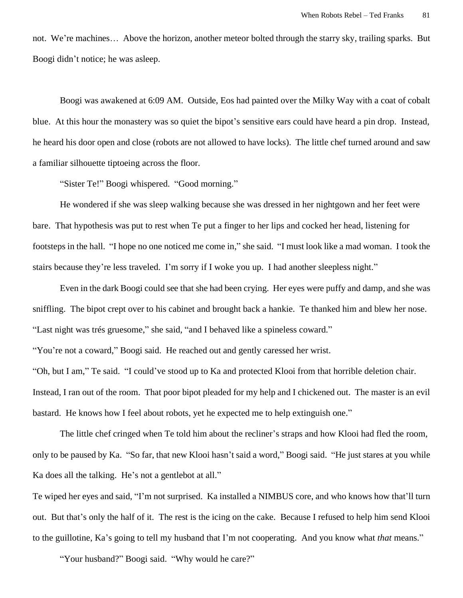not. We're machines… Above the horizon, another meteor bolted through the starry sky, trailing sparks. But Boogi didn't notice; he was asleep.

Boogi was awakened at 6:09 AM. Outside, Eos had painted over the Milky Way with a coat of cobalt blue. At this hour the monastery was so quiet the bipot's sensitive ears could have heard a pin drop. Instead, he heard his door open and close (robots are not allowed to have locks). The little chef turned around and saw a familiar silhouette tiptoeing across the floor.

"Sister Te!" Boogi whispered. "Good morning."

He wondered if she was sleep walking because she was dressed in her nightgown and her feet were bare. That hypothesis was put to rest when Te put a finger to her lips and cocked her head, listening for footsteps in the hall. "I hope no one noticed me come in," she said. "I must look like a mad woman. I took the stairs because they're less traveled. I'm sorry if I woke you up. I had another sleepless night."

Even in the dark Boogi could see that she had been crying. Her eyes were puffy and damp, and she was sniffling. The bipot crept over to his cabinet and brought back a hankie. Te thanked him and blew her nose. "Last night was trés gruesome," she said, "and I behaved like a spineless coward."

"You're not a coward," Boogi said. He reached out and gently caressed her wrist.

"Oh, but I am," Te said. "I could've stood up to Ka and protected Klooi from that horrible deletion chair. Instead, I ran out of the room. That poor bipot pleaded for my help and I chickened out. The master is an evil bastard. He knows how I feel about robots, yet he expected me to help extinguish one."

The little chef cringed when Te told him about the recliner's straps and how Klooi had fled the room, only to be paused by Ka. "So far, that new Klooi hasn't said a word," Boogi said. "He just stares at you while Ka does all the talking. He's not a gentlebot at all."

Te wiped her eyes and said, "I'm not surprised. Ka installed a NIMBUS core, and who knows how that'll turn out. But that's only the half of it. The rest is the icing on the cake. Because I refused to help him send Klooi to the guillotine, Ka's going to tell my husband that I'm not cooperating. And you know what *that* means."

"Your husband?" Boogi said. "Why would he care?"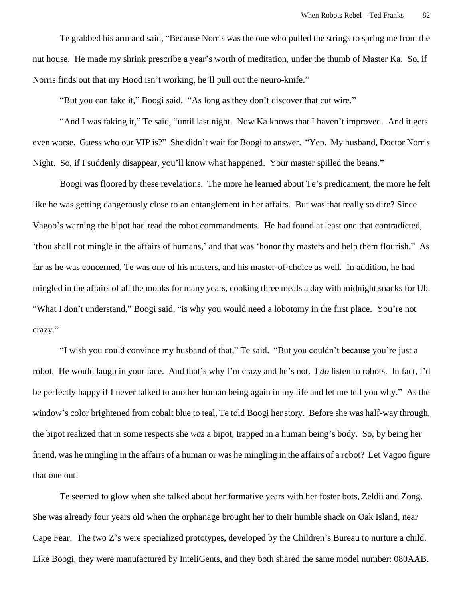Te grabbed his arm and said, "Because Norris was the one who pulled the strings to spring me from the nut house. He made my shrink prescribe a year's worth of meditation, under the thumb of Master Ka. So, if Norris finds out that my Hood isn't working, he'll pull out the neuro-knife."

"But you can fake it," Boogi said. "As long as they don't discover that cut wire."

"And I was faking it," Te said, "until last night. Now Ka knows that I haven't improved. And it gets even worse. Guess who our VIP is?" She didn't wait for Boogi to answer. "Yep. My husband, Doctor Norris Night. So, if I suddenly disappear, you'll know what happened. Your master spilled the beans."

Boogi was floored by these revelations. The more he learned about Te's predicament, the more he felt like he was getting dangerously close to an entanglement in her affairs. But was that really so dire? Since Vagoo's warning the bipot had read the robot commandments. He had found at least one that contradicted, 'thou shall not mingle in the affairs of humans,' and that was 'honor thy masters and help them flourish." As far as he was concerned, Te was one of his masters, and his master-of-choice as well. In addition, he had mingled in the affairs of all the monks for many years, cooking three meals a day with midnight snacks for Ub. "What I don't understand," Boogi said, "is why you would need a lobotomy in the first place. You're not crazy."

"I wish you could convince my husband of that," Te said. "But you couldn't because you're just a robot. He would laugh in your face. And that's why I'm crazy and he's not. I *do* listen to robots. In fact, I'd be perfectly happy if I never talked to another human being again in my life and let me tell you why." As the window's color brightened from cobalt blue to teal, Te told Boogi her story. Before she was half-way through, the bipot realized that in some respects she *was* a bipot, trapped in a human being's body. So, by being her friend, was he mingling in the affairs of a human or was he mingling in the affairs of a robot? Let Vagoo figure that one out!

Te seemed to glow when she talked about her formative years with her foster bots, Zeldii and Zong. She was already four years old when the orphanage brought her to their humble shack on Oak Island, near Cape Fear. The two Z's were specialized prototypes, developed by the Children's Bureau to nurture a child. Like Boogi, they were manufactured by InteliGents, and they both shared the same model number: 080AAB.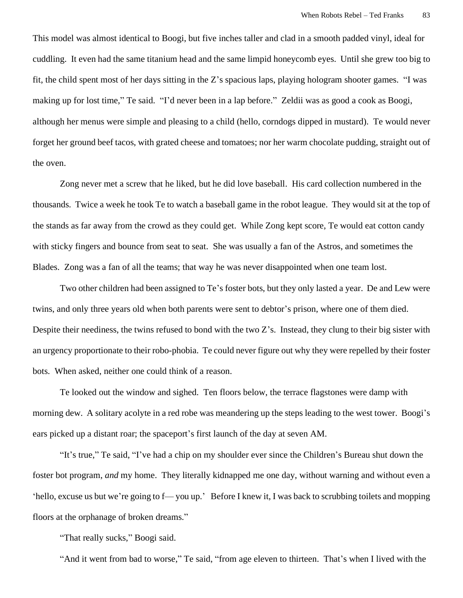This model was almost identical to Boogi, but five inches taller and clad in a smooth padded vinyl, ideal for cuddling. It even had the same titanium head and the same limpid honeycomb eyes. Until she grew too big to fit, the child spent most of her days sitting in the Z's spacious laps, playing hologram shooter games. "I was making up for lost time," Te said. "I'd never been in a lap before." Zeldii was as good a cook as Boogi, although her menus were simple and pleasing to a child (hello, corndogs dipped in mustard). Te would never forget her ground beef tacos, with grated cheese and tomatoes; nor her warm chocolate pudding, straight out of the oven.

Zong never met a screw that he liked, but he did love baseball. His card collection numbered in the thousands. Twice a week he took Te to watch a baseball game in the robot league. They would sit at the top of the stands as far away from the crowd as they could get. While Zong kept score, Te would eat cotton candy with sticky fingers and bounce from seat to seat. She was usually a fan of the Astros, and sometimes the Blades. Zong was a fan of all the teams; that way he was never disappointed when one team lost.

Two other children had been assigned to Te's foster bots, but they only lasted a year. De and Lew were twins, and only three years old when both parents were sent to debtor's prison, where one of them died. Despite their neediness, the twins refused to bond with the two Z's. Instead, they clung to their big sister with an urgency proportionate to their robo-phobia. Te could never figure out why they were repelled by their foster bots. When asked, neither one could think of a reason.

Te looked out the window and sighed. Ten floors below, the terrace flagstones were damp with morning dew. A solitary acolyte in a red robe was meandering up the steps leading to the west tower. Boogi's ears picked up a distant roar; the spaceport's first launch of the day at seven AM.

"It's true," Te said, "I've had a chip on my shoulder ever since the Children's Bureau shut down the foster bot program, *and* my home. They literally kidnapped me one day, without warning and without even a 'hello, excuse us but we're going to f— you up.' Before I knew it, I was back to scrubbing toilets and mopping floors at the orphanage of broken dreams."

"That really sucks," Boogi said.

"And it went from bad to worse," Te said, "from age eleven to thirteen. That's when I lived with the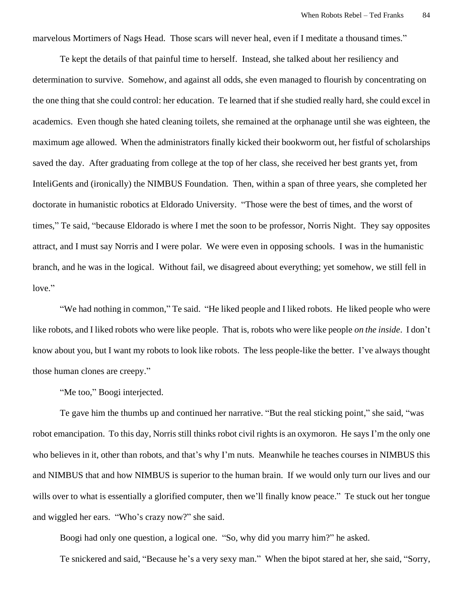marvelous Mortimers of Nags Head. Those scars will never heal, even if I meditate a thousand times."

Te kept the details of that painful time to herself. Instead, she talked about her resiliency and determination to survive. Somehow, and against all odds, she even managed to flourish by concentrating on the one thing that she could control: her education. Te learned that if she studied really hard, she could excel in academics. Even though she hated cleaning toilets, she remained at the orphanage until she was eighteen, the maximum age allowed. When the administrators finally kicked their bookworm out, her fistful of scholarships saved the day. After graduating from college at the top of her class, she received her best grants yet, from InteliGents and (ironically) the NIMBUS Foundation. Then, within a span of three years, she completed her doctorate in humanistic robotics at Eldorado University. "Those were the best of times, and the worst of times," Te said, "because Eldorado is where I met the soon to be professor, Norris Night. They say opposites attract, and I must say Norris and I were polar. We were even in opposing schools. I was in the humanistic branch, and he was in the logical. Without fail, we disagreed about everything; yet somehow, we still fell in love."

"We had nothing in common," Te said. "He liked people and I liked robots. He liked people who were like robots, and I liked robots who were like people. That is, robots who were like people *on the inside*. I don't know about you, but I want my robots to look like robots. The less people-like the better. I've always thought those human clones are creepy."

"Me too," Boogi interjected.

Te gave him the thumbs up and continued her narrative. "But the real sticking point," she said, "was robot emancipation. To this day, Norris still thinks robot civil rights is an oxymoron. He says I'm the only one who believes in it, other than robots, and that's why I'm nuts. Meanwhile he teaches courses in NIMBUS this and NIMBUS that and how NIMBUS is superior to the human brain. If we would only turn our lives and our wills over to what is essentially a glorified computer, then we'll finally know peace." Te stuck out her tongue and wiggled her ears. "Who's crazy now?" she said.

Boogi had only one question, a logical one. "So, why did you marry him?" he asked.

Te snickered and said, "Because he's a very sexy man." When the bipot stared at her, she said, "Sorry,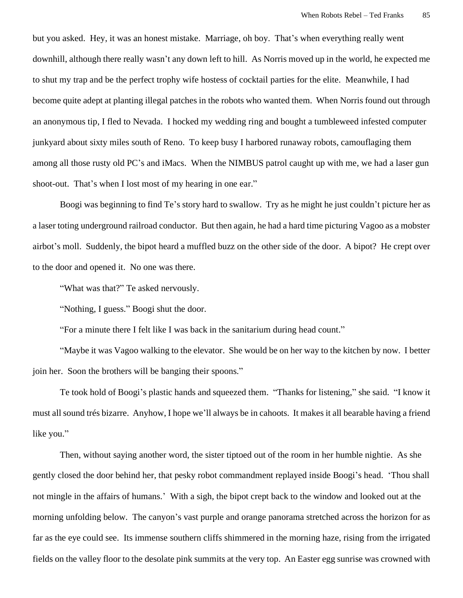but you asked. Hey, it was an honest mistake. Marriage, oh boy. That's when everything really went downhill, although there really wasn't any down left to hill. As Norris moved up in the world, he expected me to shut my trap and be the perfect trophy wife hostess of cocktail parties for the elite. Meanwhile, I had become quite adept at planting illegal patches in the robots who wanted them. When Norris found out through an anonymous tip, I fled to Nevada. I hocked my wedding ring and bought a tumbleweed infested computer junkyard about sixty miles south of Reno. To keep busy I harbored runaway robots, camouflaging them among all those rusty old PC's and iMacs. When the NIMBUS patrol caught up with me, we had a laser gun shoot-out. That's when I lost most of my hearing in one ear."

Boogi was beginning to find Te's story hard to swallow. Try as he might he just couldn't picture her as a laser toting underground railroad conductor. But then again, he had a hard time picturing Vagoo as a mobster airbot's moll. Suddenly, the bipot heard a muffled buzz on the other side of the door. A bipot? He crept over to the door and opened it. No one was there.

"What was that?" Te asked nervously.

"Nothing, I guess." Boogi shut the door.

"For a minute there I felt like I was back in the sanitarium during head count."

"Maybe it was Vagoo walking to the elevator. She would be on her way to the kitchen by now. I better join her. Soon the brothers will be banging their spoons."

Te took hold of Boogi's plastic hands and squeezed them. "Thanks for listening," she said. "I know it must all sound trés bizarre. Anyhow, I hope we'll always be in cahoots. It makes it all bearable having a friend like you."

Then, without saying another word, the sister tiptoed out of the room in her humble nightie. As she gently closed the door behind her, that pesky robot commandment replayed inside Boogi's head. 'Thou shall not mingle in the affairs of humans.' With a sigh, the bipot crept back to the window and looked out at the morning unfolding below. The canyon's vast purple and orange panorama stretched across the horizon for as far as the eye could see. Its immense southern cliffs shimmered in the morning haze, rising from the irrigated fields on the valley floor to the desolate pink summits at the very top. An Easter egg sunrise was crowned with